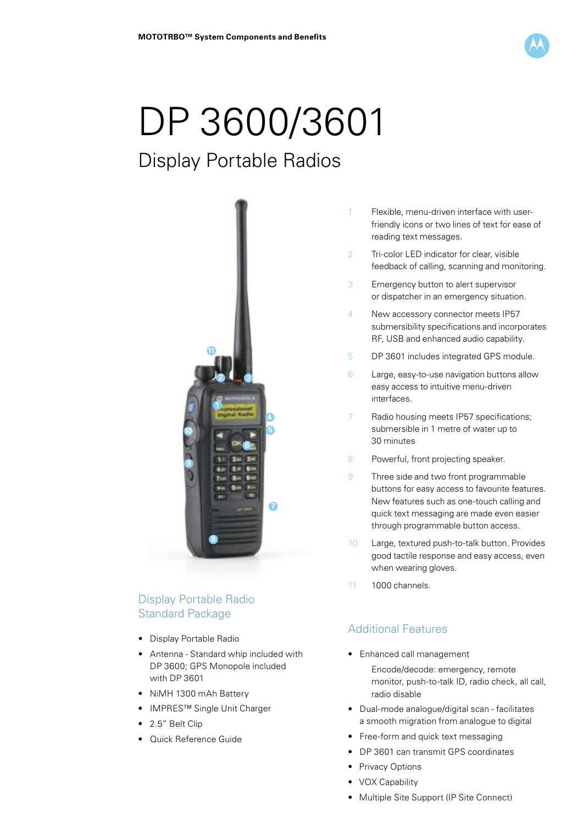

# DP 3600/3601

# Display Portable Radios



# Display Portable Radio Standard Package

- Display Portable Radio
- Antenna Standard whip included with DP 3600; GPS Monopole included with DP 3601
- NiMH 1300 mAh Battery
- IMPRES™ Single Unit Charger
- 2.5" Belt Clip
- Quick Reference Guide
- 1 Flexible, menu-driven interface with user friendly icons or two lines of text for ease of reading text messages.
- 2 Tri-color LED indicator for clear, visible feedback of calling, scanning and monitoring.
- 3 Emergency button to alert supervisor or dispatcher in an emergency situation.
- 4 New accessory connector meets IP57 submersibility specifications and incorporates RF, USB and enhanced audio capability.
- 5 DP 3601 includes integrated GPS module.
- 6 Large, easy-to-use navigation buttons allow easy access to intuitive menu-driven interfaces.
- 7 Radio housing meets IP57 specifications; submersible in 1 metre of water up to 30 minutes
- 8 Powerful, front projecting speaker.
- 9 Three side and two front programmable buttons for easy access to favourite features. New features such as one-touch calling and quick text messaging are made even easier through programmable button access.
- 10 Large, textured push-to-talk button. Provides good tactile response and easy access, even when wearing gloves.
- 11 1000 channels.

## Additional Features

- Enhanced call management
	- Encode/decode: emergency, remote monitor, push-to-talk ID, radio check, all call, radio disable
- Dual-mode analogue/digital scan facilitates a smooth migration from analogue to digital
- Free-form and quick text messaging
- DP 3601 can transmit GPS coordinates
- Privacy Options
- VOX Capability
- Multiple Site Support (IP Site Connect)